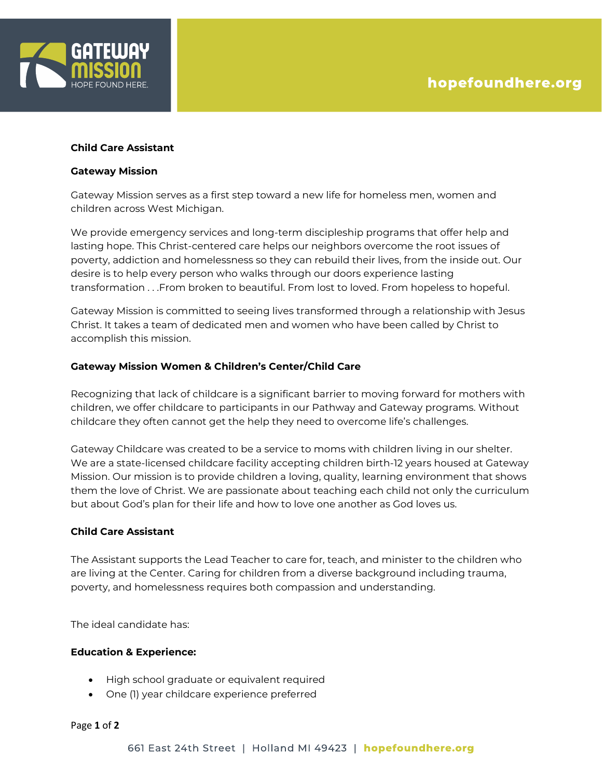

# **Child Care Assistant**

#### **Gateway Mission**

Gateway Mission serves as a first step toward a new life for homeless men, women and children across West Michigan.

We provide emergency services and long-term discipleship programs that offer help and lasting hope. This Christ-centered care helps our neighbors overcome the root issues of poverty, addiction and homelessness so they can rebuild their lives, from the inside out. Our desire is to help every person who walks through our doors experience lasting transformation . . .From broken to beautiful. From lost to loved. From hopeless to hopeful.

Gateway Mission is committed to seeing lives transformed through a relationship with Jesus Christ. It takes a team of dedicated men and women who have been called by Christ to accomplish this mission.

## **Gateway Mission Women & Children's Center/Child Care**

Recognizing that lack of childcare is a significant barrier to moving forward for mothers with children, we offer childcare to participants in our Pathway and Gateway programs. Without childcare they often cannot get the help they need to overcome life's challenges.

Gateway Childcare was created to be a service to moms with children living in our shelter. We are a state-licensed childcare facility accepting children birth-12 years housed at Gateway Mission. Our mission is to provide children a loving, quality, learning environment that shows them the love of Christ. We are passionate about teaching each child not only the curriculum but about God's plan for their life and how to love one another as God loves us.

#### **Child Care Assistant**

The Assistant supports the Lead Teacher to care for, teach, and minister to the children who are living at the Center. Caring for children from a diverse background including trauma, poverty, and homelessness requires both compassion and understanding.

The ideal candidate has:

## **Education & Experience:**

- High school graduate or equivalent required
- One (1) year childcare experience preferred